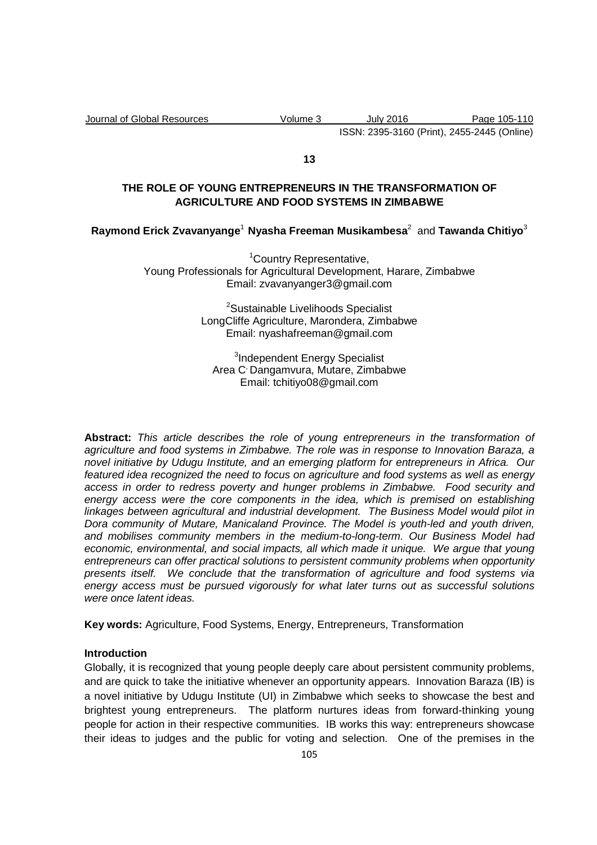Journal of Global Resources Volume 3 July 2016 Page 105-110 ISSN: 2395-3160 (Print), 2455-2445 (Online)

**13** 

# **THE ROLE OF YOUNG ENTREPRENEURS IN THE TRANSFORMATION OF AGRICULTURE AND FOOD SYSTEMS IN ZIMBABWE**

## **Raymond Erick Zvavanyange**<sup>1</sup>**Nyasha Freeman Musikambesa**<sup>2</sup> and **Tawanda Chitiyo**<sup>3</sup>

<sup>1</sup>Country Representative, Young Professionals for Agricultural Development, Harare, Zimbabwe Email: zvavanyanger3@gmail.com

> <sup>2</sup>Sustainable Livelihoods Specialist LongCliffe Agriculture, Marondera, Zimbabwe Email: nyashafreeman@gmail.com

<sup>3</sup>Independent Energy Specialist Area C, Dangamvura, Mutare, Zimbabwe Email: tchitiyo08@gmail.com

**Abstract:** This article describes the role of young entrepreneurs in the transformation of agriculture and food systems in Zimbabwe. The role was in response to Innovation Baraza, a novel initiative by Udugu Institute, and an emerging platform for entrepreneurs in Africa. Our featured idea recognized the need to focus on agriculture and food systems as well as energy access in order to redress poverty and hunger problems in Zimbabwe. Food security and energy access were the core components in the idea, which is premised on establishing linkages between agricultural and industrial development. The Business Model would pilot in Dora community of Mutare, Manicaland Province. The Model is youth-led and youth driven, and mobilises community members in the medium-to-long-term. Our Business Model had economic, environmental, and social impacts, all which made it unique. We argue that young entrepreneurs can offer practical solutions to persistent community problems when opportunity presents itself. We conclude that the transformation of agriculture and food systems via energy access must be pursued vigorously for what later turns out as successful solutions were once latent ideas.

**Key words:** Agriculture, Food Systems, Energy, Entrepreneurs, Transformation

#### **Introduction**

Globally, it is recognized that young people deeply care about persistent community problems, and are quick to take the initiative whenever an opportunity appears. Innovation Baraza (IB) is a novel initiative by Udugu Institute (UI) in Zimbabwe which seeks to showcase the best and brightest young entrepreneurs. The platform nurtures ideas from forward-thinking young people for action in their respective communities. IB works this way: entrepreneurs showcase their ideas to judges and the public for voting and selection. One of the premises in the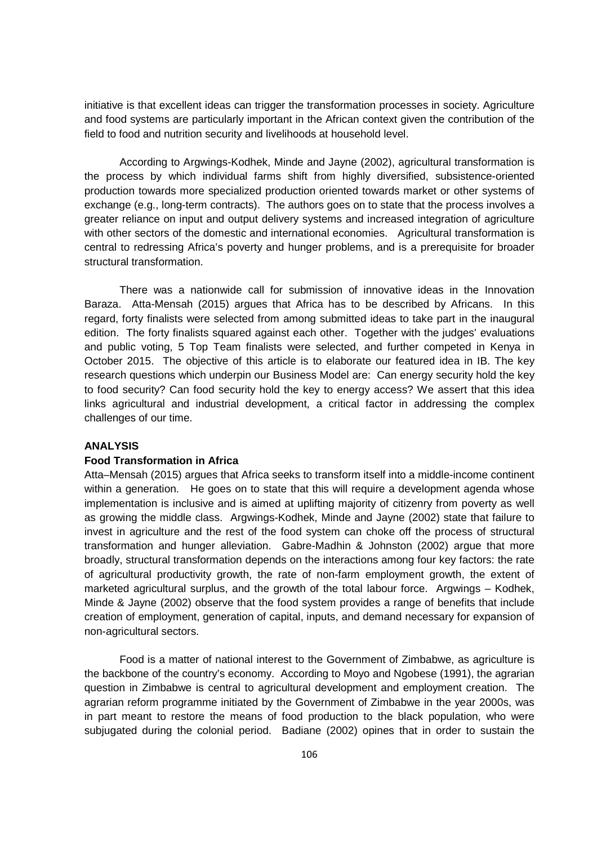initiative is that excellent ideas can trigger the transformation processes in society. Agriculture and food systems are particularly important in the African context given the contribution of the field to food and nutrition security and livelihoods at household level.

According to Argwings-Kodhek, Minde and Jayne (2002), agricultural transformation is the process by which individual farms shift from highly diversified, subsistence-oriented production towards more specialized production oriented towards market or other systems of exchange (e.g., long-term contracts). The authors goes on to state that the process involves a greater reliance on input and output delivery systems and increased integration of agriculture with other sectors of the domestic and international economies. Agricultural transformation is central to redressing Africa's poverty and hunger problems, and is a prerequisite for broader structural transformation.

There was a nationwide call for submission of innovative ideas in the Innovation Baraza. Atta-Mensah (2015) argues that Africa has to be described by Africans. In this regard, forty finalists were selected from among submitted ideas to take part in the inaugural edition. The forty finalists squared against each other. Together with the judges' evaluations and public voting, 5 Top Team finalists were selected, and further competed in Kenya in October 2015. The objective of this article is to elaborate our featured idea in IB. The key research questions which underpin our Business Model are: Can energy security hold the key to food security? Can food security hold the key to energy access? We assert that this idea links agricultural and industrial development, a critical factor in addressing the complex challenges of our time.

## **ANALYSIS**

### **Food Transformation in Africa**

Atta–Mensah (2015) argues that Africa seeks to transform itself into a middle-income continent within a generation. He goes on to state that this will require a development agenda whose implementation is inclusive and is aimed at uplifting majority of citizenry from poverty as well as growing the middle class. Argwings-Kodhek, Minde and Jayne (2002) state that failure to invest in agriculture and the rest of the food system can choke off the process of structural transformation and hunger alleviation. Gabre-Madhin & Johnston (2002) argue that more broadly, structural transformation depends on the interactions among four key factors: the rate of agricultural productivity growth, the rate of non-farm employment growth, the extent of marketed agricultural surplus, and the growth of the total labour force. Argwings – Kodhek, Minde & Jayne (2002) observe that the food system provides a range of benefits that include creation of employment, generation of capital, inputs, and demand necessary for expansion of non-agricultural sectors.

Food is a matter of national interest to the Government of Zimbabwe, as agriculture is the backbone of the country's economy. According to Moyo and Ngobese (1991), the agrarian question in Zimbabwe is central to agricultural development and employment creation. The agrarian reform programme initiated by the Government of Zimbabwe in the year 2000s, was in part meant to restore the means of food production to the black population, who were subjugated during the colonial period. Badiane (2002) opines that in order to sustain the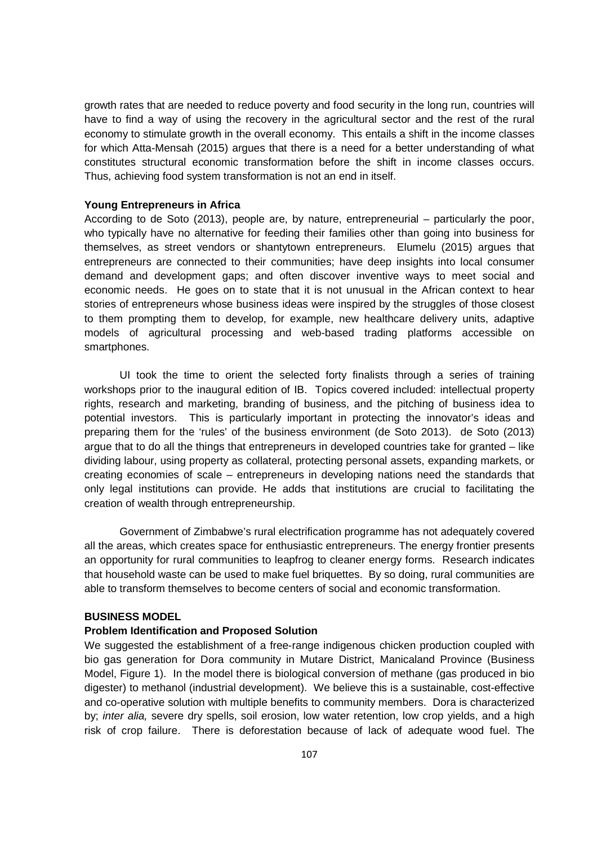growth rates that are needed to reduce poverty and food security in the long run, countries will have to find a way of using the recovery in the agricultural sector and the rest of the rural economy to stimulate growth in the overall economy. This entails a shift in the income classes for which Atta-Mensah (2015) argues that there is a need for a better understanding of what constitutes structural economic transformation before the shift in income classes occurs. Thus, achieving food system transformation is not an end in itself.

#### **Young Entrepreneurs in Africa**

According to de Soto (2013), people are, by nature, entrepreneurial – particularly the poor, who typically have no alternative for feeding their families other than going into business for themselves, as street vendors or shantytown entrepreneurs. Elumelu (2015) argues that entrepreneurs are connected to their communities; have deep insights into local consumer demand and development gaps; and often discover inventive ways to meet social and economic needs. He goes on to state that it is not unusual in the African context to hear stories of entrepreneurs whose business ideas were inspired by the struggles of those closest to them prompting them to develop, for example, new healthcare delivery units, adaptive models of agricultural processing and web-based trading platforms accessible on smartphones.

UI took the time to orient the selected forty finalists through a series of training workshops prior to the inaugural edition of IB. Topics covered included: intellectual property rights, research and marketing, branding of business, and the pitching of business idea to potential investors. This is particularly important in protecting the innovator's ideas and preparing them for the 'rules' of the business environment (de Soto 2013). de Soto (2013) argue that to do all the things that entrepreneurs in developed countries take for granted – like dividing labour, using property as collateral, protecting personal assets, expanding markets, or creating economies of scale – entrepreneurs in developing nations need the standards that only legal institutions can provide. He adds that institutions are crucial to facilitating the creation of wealth through entrepreneurship.

Government of Zimbabwe's rural electrification programme has not adequately covered all the areas, which creates space for enthusiastic entrepreneurs. The energy frontier presents an opportunity for rural communities to leapfrog to cleaner energy forms. Research indicates that household waste can be used to make fuel briquettes. By so doing, rural communities are able to transform themselves to become centers of social and economic transformation.

#### **BUSINESS MODEL**

### **Problem Identification and Proposed Solution**

We suggested the establishment of a free-range indigenous chicken production coupled with bio gas generation for Dora community in Mutare District, Manicaland Province (Business Model, Figure 1). In the model there is biological conversion of methane (gas produced in bio digester) to methanol (industrial development). We believe this is a sustainable, cost-effective and co-operative solution with multiple benefits to community members. Dora is characterized by; inter alia, severe dry spells, soil erosion, low water retention, low crop yields, and a high risk of crop failure. There is deforestation because of lack of adequate wood fuel. The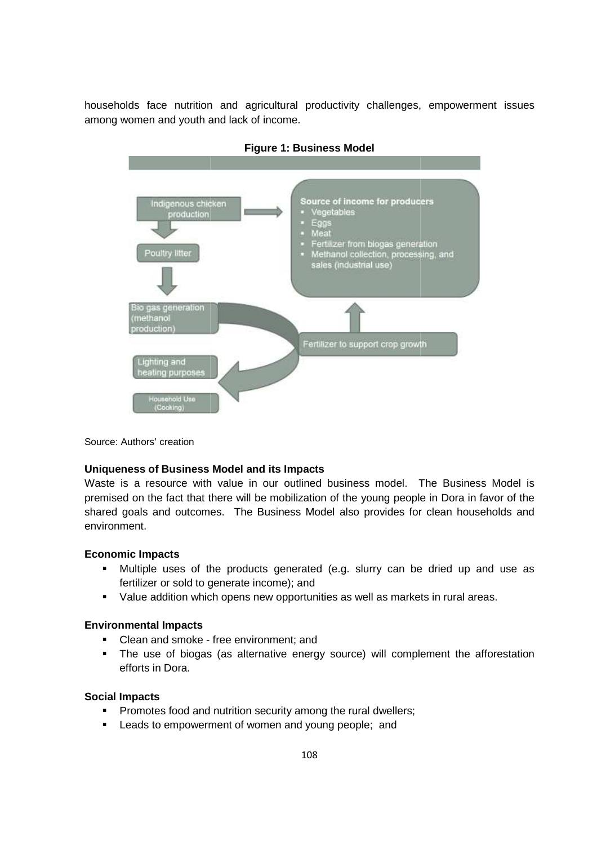households face nutrition and agricultural productivity challenges, empowerment issues among women and youth and lack of income.



**Figure 1: Business Model** 

Source: Authors' creation

#### **Uniqueness of Business Model and its Impacts**

Waste is a resource with value in our outlined business model. The Business Model is premised on the fact that there will be mobilization of the young people in Dora in favor of the premised on the fact that there will be mobilization of the young people in Dora in favor of the<br>shared goals and outcomes. The Business Model also provides for clean households and environment.

### **Economic Impacts**

- Multiple uses of the products generated (e.g. slurry can be dried up and use as fertilizer or sold to generate income); and
- Value addition which opens new opportunities as well as markets in rural areas.

#### **Environmental Impacts**

- Clean and smoke free environment; and
- The use of biogas (as alternative energy source) will complement the afforestation efforts in Dora. products generated (e.g. slurry can be dried up and<br>nerate income); and<br>opens new opportunities as well as markets in rural areas.<br>ee environment; and<br>as alternative energy source) will complement the affor<br>utrition securi

### **Social Impacts**

- Promotes food and nutrition security among the rural dwellers;
- " Leads to empowerment of women and young people; and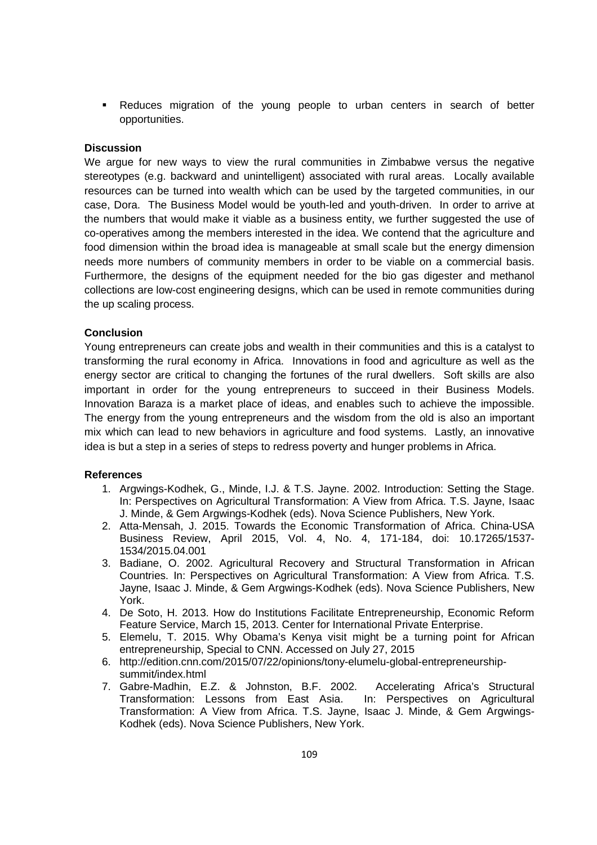Reduces migration of the young people to urban centers in search of better opportunities.

## **Discussion**

We argue for new ways to view the rural communities in Zimbabwe versus the negative stereotypes (e.g. backward and unintelligent) associated with rural areas. Locally available resources can be turned into wealth which can be used by the targeted communities, in our case, Dora. The Business Model would be youth-led and youth-driven. In order to arrive at the numbers that would make it viable as a business entity, we further suggested the use of co-operatives among the members interested in the idea. We contend that the agriculture and food dimension within the broad idea is manageable at small scale but the energy dimension needs more numbers of community members in order to be viable on a commercial basis. Furthermore, the designs of the equipment needed for the bio gas digester and methanol collections are low-cost engineering designs, which can be used in remote communities during the up scaling process.

### **Conclusion**

Young entrepreneurs can create jobs and wealth in their communities and this is a catalyst to transforming the rural economy in Africa. Innovations in food and agriculture as well as the energy sector are critical to changing the fortunes of the rural dwellers. Soft skills are also important in order for the young entrepreneurs to succeed in their Business Models. Innovation Baraza is a market place of ideas, and enables such to achieve the impossible. The energy from the young entrepreneurs and the wisdom from the old is also an important mix which can lead to new behaviors in agriculture and food systems. Lastly, an innovative idea is but a step in a series of steps to redress poverty and hunger problems in Africa.

#### **References**

- 1. Argwings-Kodhek, G., Minde, I.J. & T.S. Jayne. 2002. Introduction: Setting the Stage. In: Perspectives on Agricultural Transformation: A View from Africa. T.S. Jayne, Isaac J. Minde, & Gem Argwings-Kodhek (eds). Nova Science Publishers, New York.
- 2. Atta-Mensah, J. 2015. Towards the Economic Transformation of Africa. China-USA Business Review, April 2015, Vol. 4, No. 4, 171-184, doi: 10.17265/1537- 1534/2015.04.001
- 3. Badiane, O. 2002. Agricultural Recovery and Structural Transformation in African Countries. In: Perspectives on Agricultural Transformation: A View from Africa. T.S. Jayne, Isaac J. Minde, & Gem Argwings-Kodhek (eds). Nova Science Publishers, New York.
- 4. De Soto, H. 2013. How do Institutions Facilitate Entrepreneurship, Economic Reform Feature Service, March 15, 2013. Center for International Private Enterprise.
- 5. Elemelu, T. 2015. Why Obama's Kenya visit might be a turning point for African entrepreneurship, Special to CNN. Accessed on July 27, 2015
- 6. http://edition.cnn.com/2015/07/22/opinions/tony-elumelu-global-entrepreneurshipsummit/index.html
- 7. Gabre-Madhin, E.Z. & Johnston, B.F. 2002. Accelerating Africa's Structural Transformation: Lessons from East Asia. In: Perspectives on Agricultural Transformation: A View from Africa. T.S. Jayne, Isaac J. Minde, & Gem Argwings-Kodhek (eds). Nova Science Publishers, New York.